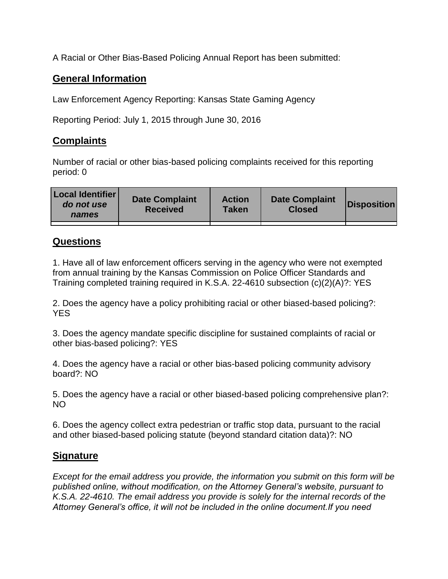A Racial or Other Bias-Based Policing Annual Report has been submitted:

## **General Information**

Law Enforcement Agency Reporting: Kansas State Gaming Agency

Reporting Period: July 1, 2015 through June 30, 2016

## **Complaints**

Number of racial or other bias-based policing complaints received for this reporting period: 0

| <b>Local Identifier</b><br>do not use<br>names | <b>Date Complaint</b><br><b>Received</b> | <b>Action</b><br><b>Taken</b> | <b>Date Complaint</b><br><b>Closed</b> | Disposition |
|------------------------------------------------|------------------------------------------|-------------------------------|----------------------------------------|-------------|
|                                                |                                          |                               |                                        |             |

## **Questions**

1. Have all of law enforcement officers serving in the agency who were not exempted from annual training by the Kansas Commission on Police Officer Standards and Training completed training required in K.S.A. 22-4610 subsection (c)(2)(A)?: YES

2. Does the agency have a policy prohibiting racial or other biased-based policing?: YES

3. Does the agency mandate specific discipline for sustained complaints of racial or other bias-based policing?: YES

4. Does the agency have a racial or other bias-based policing community advisory board?: NO

5. Does the agency have a racial or other biased-based policing comprehensive plan?: NO

6. Does the agency collect extra pedestrian or traffic stop data, pursuant to the racial and other biased-based policing statute (beyond standard citation data)?: NO

## **Signature**

*Except for the email address you provide, the information you submit on this form will be published online, without modification, on the Attorney General's website, pursuant to K.S.A. 22-4610. The email address you provide is solely for the internal records of the Attorney General's office, it will not be included in the online document.If you need*